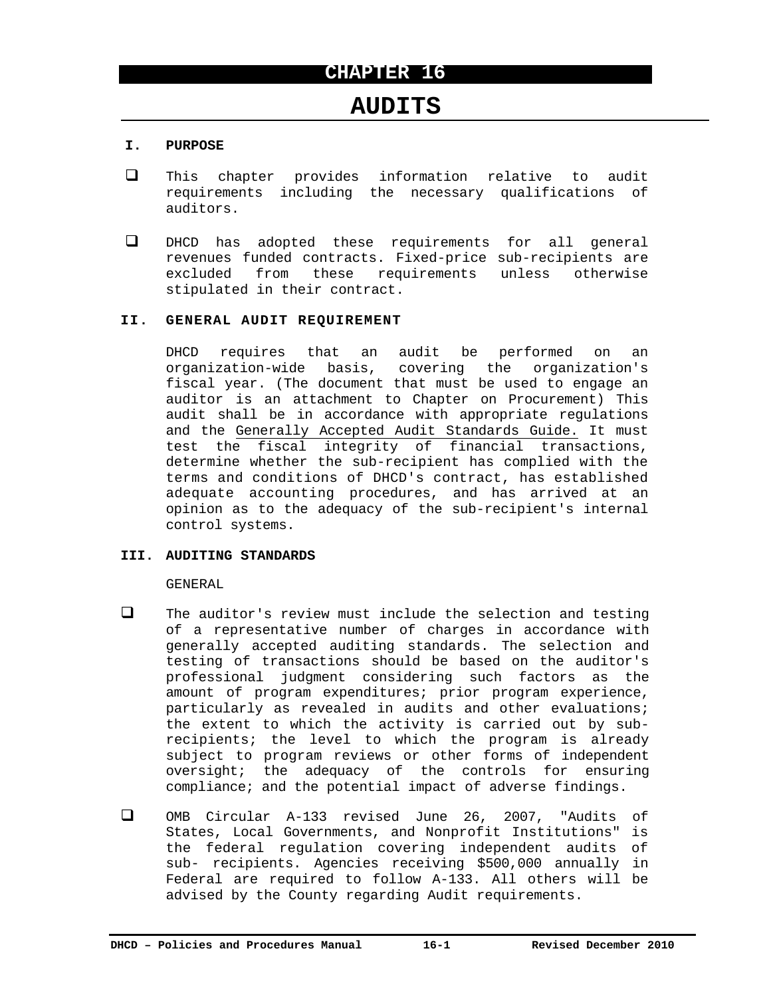# **AUDITS**

# **I. PURPOSE**

- This chapter provides information relative to audit requirements including the necessary qualifications of auditors.
- DHCD has adopted these requirements for all general revenues funded contracts. Fixed-price sub-recipients are excluded from these requirements unless otherwise stipulated in their contract.

# **II. GENERAL AUDIT REQUIREMENT**

DHCD requires that an audit be performed on an organization-wide basis, covering the organization's fiscal year. (The document that must be used to engage an auditor is an attachment to Chapter on Procurement) This audit shall be in accordance with appropriate regulations and the Generally Accepted Audit Standards Guide. It must test the fiscal integrity of financial transactions, determine whether the sub-recipient has complied with the terms and conditions of DHCD's contract, has established adequate accounting procedures, and has arrived at an opinion as to the adequacy of the sub-recipient's internal control systems.

# **III. AUDITING STANDARDS**

# GENERAL

- $\Box$  The auditor's review must include the selection and testing of a representative number of charges in accordance with generally accepted auditing standards. The selection and testing of transactions should be based on the auditor's professional judgment considering such factors as the amount of program expenditures; prior program experience, particularly as revealed in audits and other evaluations; the extent to which the activity is carried out by subrecipients; the level to which the program is already subject to program reviews or other forms of independent oversight; the adequacy of the controls for ensuring compliance; and the potential impact of adverse findings.
- OMB Circular A-133 revised June 26, 2007, "Audits of States, Local Governments, and Nonprofit Institutions" is the federal regulation covering independent audits of sub- recipients. Agencies receiving \$500,000 annually in Federal are required to follow A-133. All others will be advised by the County regarding Audit requirements.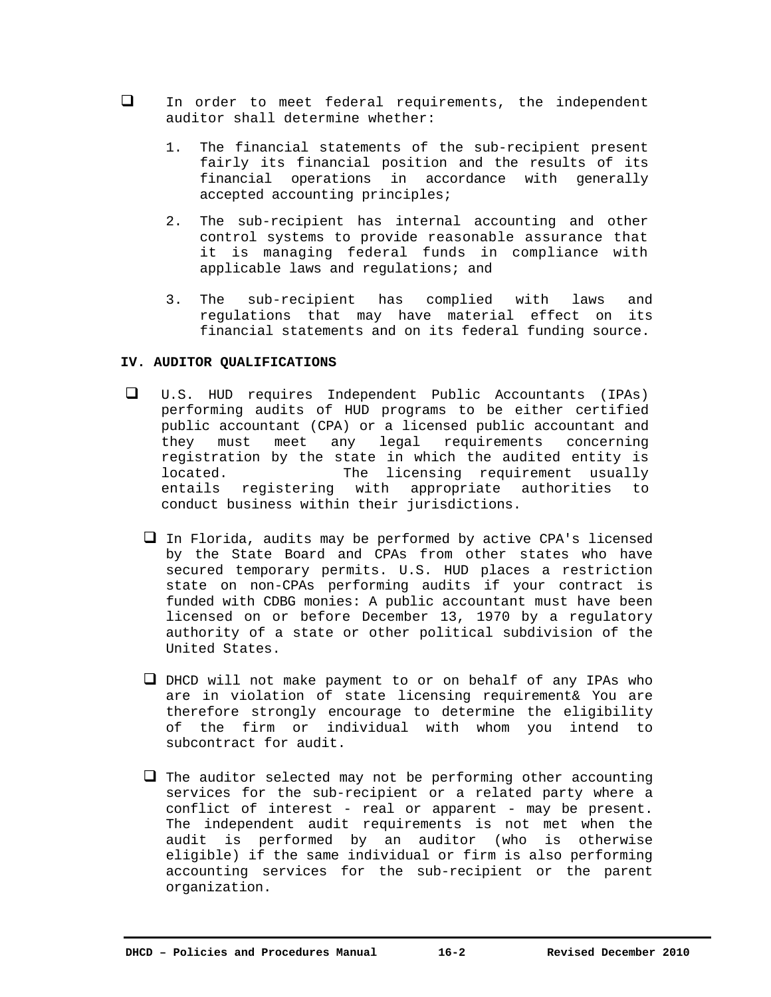- In order to meet federal requirements, the independent auditor shall determine whether:
	- 1. The financial statements of the sub-recipient present fairly its financial position and the results of its financial operations in accordance with generally accepted accounting principles;
	- 2. The sub-recipient has internal accounting and other control systems to provide reasonable assurance that it is managing federal funds in compliance with applicable laws and regulations; and
	- 3. The sub-recipient has complied with laws and regulations that may have material effect on its financial statements and on its federal funding source.

#### **IV. AUDITOR QUALIFICATIONS**

- U.S. HUD requires Independent Public Accountants (IPAs) performing audits of HUD programs to be either certified public accountant (CPA) or a licensed public accountant and they must meet any legal requirements concerning registration by the state in which the audited entity is located. The licensing requirement usually entails registering with appropriate authorities to conduct business within their jurisdictions.
	- $\Box$  In Florida, audits may be performed by active CPA's licensed by the State Board and CPAs from other states who have secured temporary permits. U.S. HUD places a restriction state on non-CPAs performing audits if your contract is funded with CDBG monies: A public accountant must have been licensed on or before December 13, 1970 by a regulatory authority of a state or other political subdivision of the United States.
	- $\Box$  DHCD will not make payment to or on behalf of any IPAs who are in violation of state licensing requirement& You are therefore strongly encourage to determine the eligibility of the firm or individual with whom you intend to subcontract for audit.
	- $\Box$  The auditor selected may not be performing other accounting services for the sub-recipient or a related party where a conflict of interest - real or apparent - may be present. The independent audit requirements is not met when the audit is performed by an auditor (who is otherwise eligible) if the same individual or firm is also performing accounting services for the sub-recipient or the parent organization.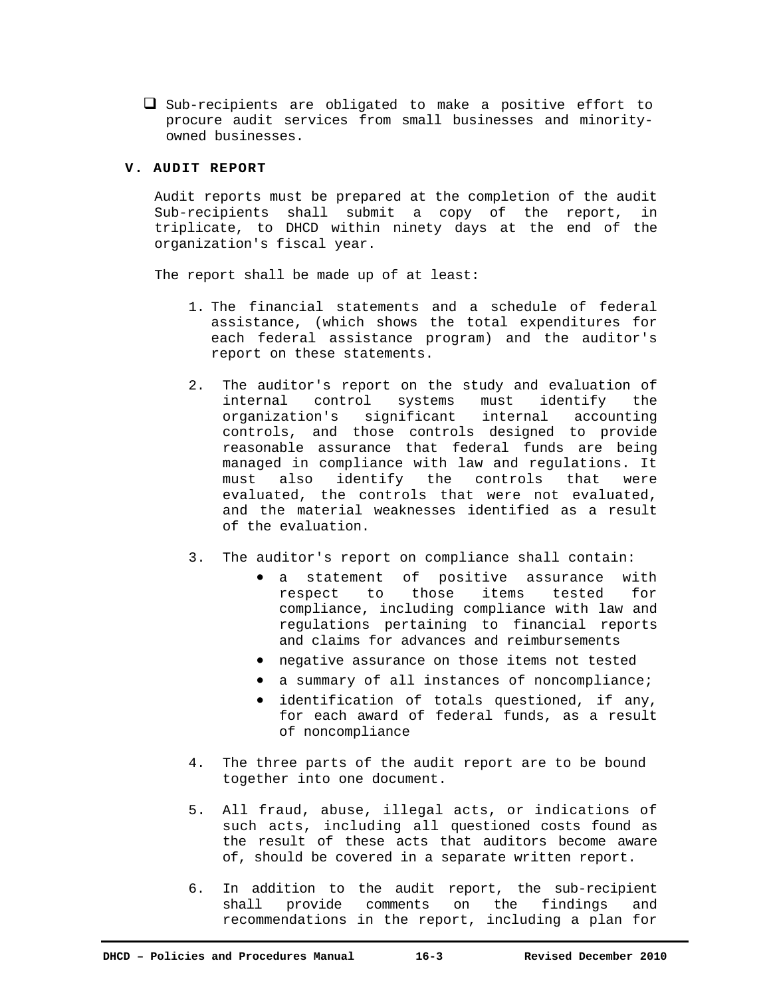$\Box$  Sub-recipients are obligated to make a positive effort to procure audit services from small businesses and minorityowned businesses.

# **V. AUDIT REPORT**

Audit reports must be prepared at the completion of the audit Sub-recipients shall submit a copy of the report, in triplicate, to DHCD within ninety days at the end of the organization's fiscal year.

The report shall be made up of at least:

- 1. The financial statements and a schedule of federal assistance, (which shows the total expenditures for each federal assistance program) and the auditor's report on these statements.
- 2. The auditor's report on the study and evaluation of internal control systems must identify the organization's significant internal accounting controls, and those controls designed to provide reasonable assurance that federal funds are being managed in compliance with law and regulations. It must also identify the controls that were evaluated, the controls that were not evaluated, and the material weaknesses identified as a result of the evaluation.
- 3. The auditor's report on compliance shall contain:
	- a statement of positive assurance with respect to those items tested for compliance, including compliance with law and regulations pertaining to financial reports and claims for advances and reimbursements
	- negative assurance on those items not tested
	- a summary of all instances of noncompliance;
	- identification of totals questioned, if any, for each award of federal funds, as a result of noncompliance
- 4. The three parts of the audit report are to be bound together into one document.
- 5. All fraud, abuse, illegal acts, or indications of such acts, including all questioned costs found as the result of these acts that auditors become aware of, should be covered in a separate written report.
- 6. In addition to the audit report, the sub-recipient shall provide comments on the findings and recommendations in the report, including a plan for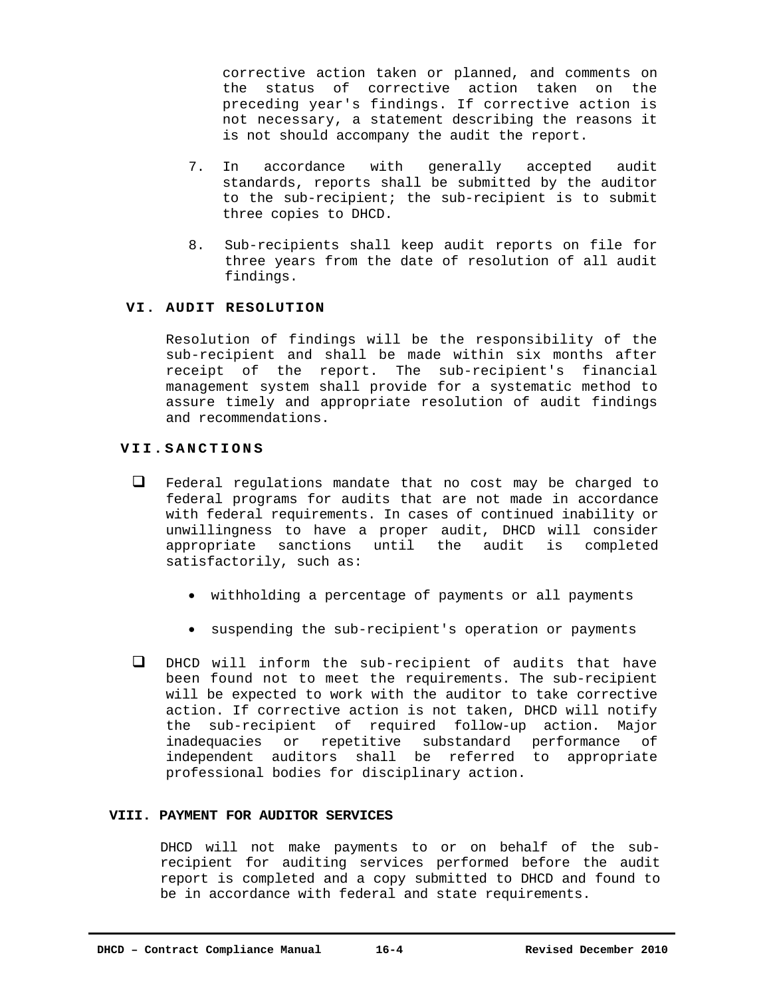corrective action taken or planned, and comments on the status of corrective action taken on the preceding year's findings. If corrective action is not necessary, a statement describing the reasons it is not should accompany the audit the report.

- 7. In accordance with generally accepted audit standards, reports shall be submitted by the auditor to the sub-recipient; the sub-recipient is to submit three copies to DHCD.
- 8. Sub-recipients shall keep audit reports on file for three years from the date of resolution of all audit findings.

#### **VI. AUDIT RESOLUTION**

Resolution of findings will be the responsibility of the sub-recipient and shall be made within six months after receipt of the report. The sub-recipient's financial management system shall provide for a systematic method to assure timely and appropriate resolution of audit findings and recommendations.

#### **VII.SANCTIONS**

- Federal regulations mandate that no cost may be charged to federal programs for audits that are not made in accordance with federal requirements. In cases of continued inability or unwillingness to have a proper audit, DHCD will consider appropriate sanctions until the audit is completed satisfactorily, such as:
	- withholding a percentage of payments or all payments
	- suspending the sub-recipient's operation or payments
- DHCD will inform the sub-recipient of audits that have been found not to meet the requirements. The sub-recipient will be expected to work with the auditor to take corrective action. If corrective action is not taken, DHCD will notify the sub-recipient of required follow-up action. Major inadequacies or repetitive substandard performance of independent auditors shall be referred to appropriate professional bodies for disciplinary action.

# **VIII. PAYMENT FOR AUDITOR SERVICES**

DHCD will not make payments to or on behalf of the subrecipient for auditing services performed before the audit report is completed and a copy submitted to DHCD and found to be in accordance with federal and state requirements.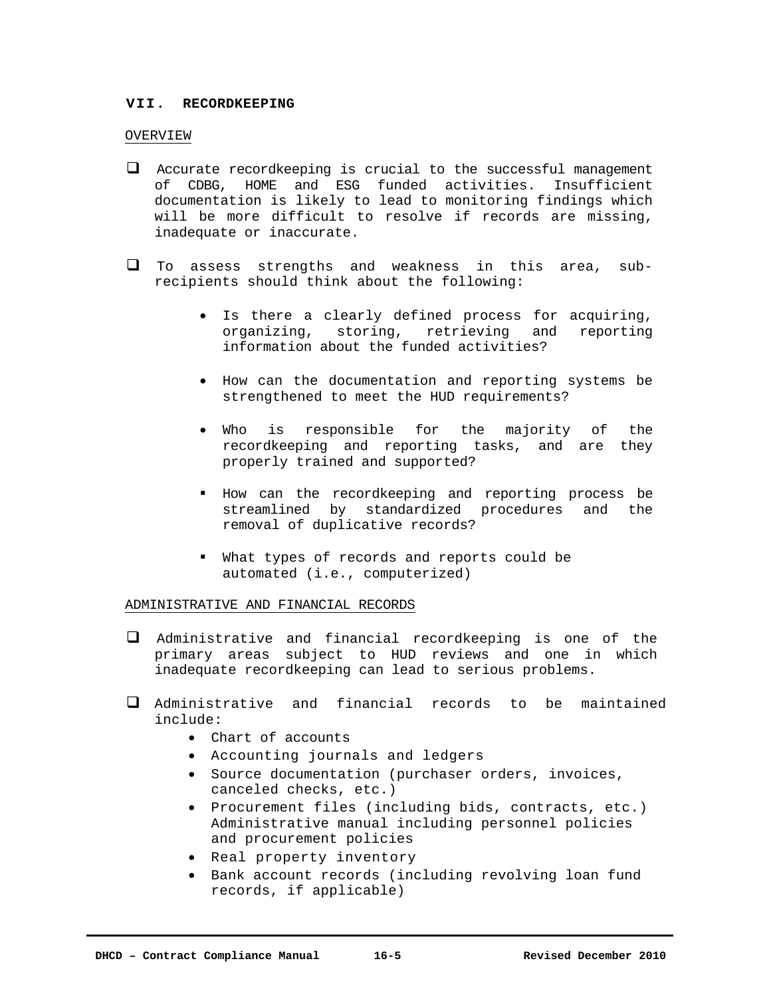# **VII. RECORDKEEPING**

### OVERVIEW

- $\Box$  Accurate recordkeeping is crucial to the successful management of CDBG, HOME and ESG funded activities. Insufficient documentation is likely to lead to monitoring findings which will be more difficult to resolve if records are missing, inadequate or inaccurate.
- To assess strengths and weakness in this area, subrecipients should think about the following:
	- Is there a clearly defined process for acquiring, organizing, storing, retrieving and reporting information about the funded activities?
	- How can the documentation and reporting systems be strengthened to meet the HUD requirements?
	- Who is responsible for the majority of the recordkeeping and reporting tasks, and are they properly trained and supported?
	- How can the recordkeeping and reporting process be streamlined by standardized procedures and the removal of duplicative records?
	- What types of records and reports could be automated (i.e., computerized)

# ADMINISTRATIVE AND FINANCIAL RECORDS

- Administrative and financial recordkeeping is one of the primary areas subject to HUD reviews and one in which inadequate recordkeeping can lead to serious problems.
- Administrative and financial records to be maintained include:
	- Chart of accounts
	- Accounting journals and ledgers
	- Source documentation (purchaser orders, invoices, canceled checks, etc.)
	- Procurement files (including bids, contracts, etc.) Administrative manual including personnel policies and procurement policies
	- Real property inventory
	- Bank account records (including revolving loan fund records, if applicable)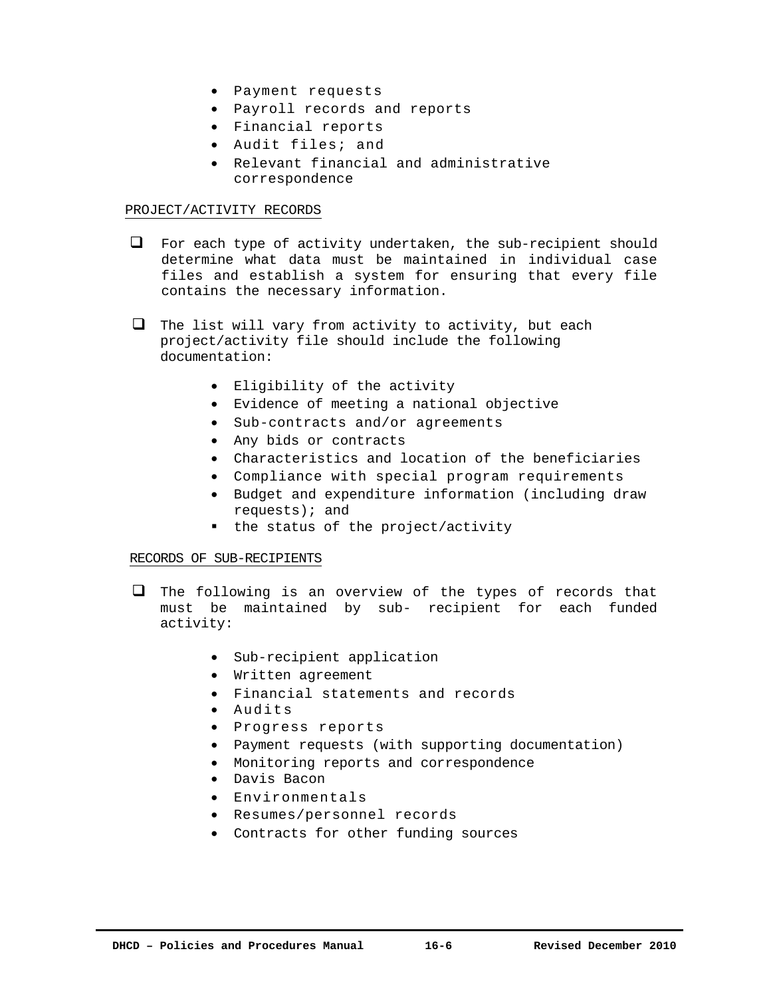- Payment requests
- Payroll records and reports
- Financial reports
- Audit files; and
- Relevant financial and administrative correspondence

#### PROJECT/ACTIVITY RECORDS

- $\Box$  For each type of activity undertaken, the sub-recipient should determine what data must be maintained in individual case files and establish a system for ensuring that every file contains the necessary information.
- $\Box$  The list will vary from activity to activity, but each project/activity file should include the following documentation:
	- Eligibility of the activity
	- Evidence of meeting a national objective
	- Sub-contracts and/or agreements
	- Any bids or contracts
	- Characteristics and location of the beneficiaries
	- Compliance with special program requirements
	- Budget and expenditure information (including draw requests); and
	- the status of the project/activity

# RECORDS OF SUB-RECIPIENTS

- $\Box$  The following is an overview of the types of records that must be maintained by sub- recipient for each funded activity:
	- Sub-recipient application
	- Written agreement
	- Financial statements and records
	- Audits
	- Progress reports
	- Payment requests (with supporting documentation)
	- Monitoring reports and correspondence
	- Davis Bacon
	- Environmentals
	- Resumes/personnel records
	- Contracts for other funding sources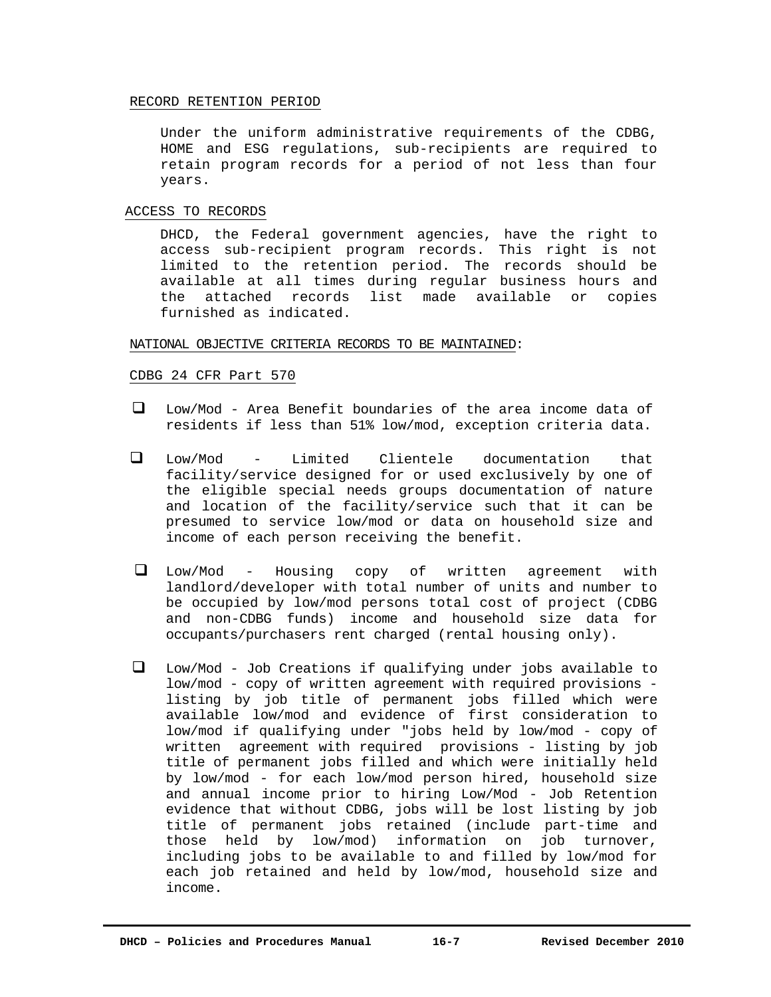#### RECORD RETENTION PERIOD

Under the uniform administrative requirements of the CDBG, HOME and ESG regulations, sub-recipients are required to retain program records for a period of not less than four years.

#### ACCESS TO RECORDS

DHCD, the Federal government agencies, have the right to access sub-recipient program records. This right is not limited to the retention period. The records should be available at all times during regular business hours and the attached records list made available or copies furnished as indicated.

#### NATIONAL OBJECTIVE CRITERIA RECORDS TO BE MAINTAINED:

#### CDBG 24 CFR Part 570

- Low/Mod Area Benefit boundaries of the area income data of residents if less than 51% low/mod, exception criteria data.
- Low/Mod Limited Clientele documentation that facility/service designed for or used exclusively by one of the eligible special needs groups documentation of nature and location of the facility/service such that it can be presumed to service low/mod or data on household size and income of each person receiving the benefit.
- Low/Mod Housing copy of written agreement with landlord/developer with total number of units and number to be occupied by low/mod persons total cost of project (CDBG and non-CDBG funds) income and household size data for occupants/purchasers rent charged (rental housing only).
- Low/Mod Job Creations if qualifying under jobs available to low/mod - copy of written agreement with required provisions listing by job title of permanent jobs filled which were available low/mod and evidence of first consideration to low/mod if qualifying under "jobs held by low/mod - copy of written agreement with required provisions - listing by job title of permanent jobs filled and which were initially held by low/mod - for each low/mod person hired, household size and annual income prior to hiring Low/Mod - Job Retention evidence that without CDBG, jobs will be lost listing by job title of permanent jobs retained (include part-time and those held by low/mod) information on job turnover, including jobs to be available to and filled by low/mod for each job retained and held by low/mod, household size and income.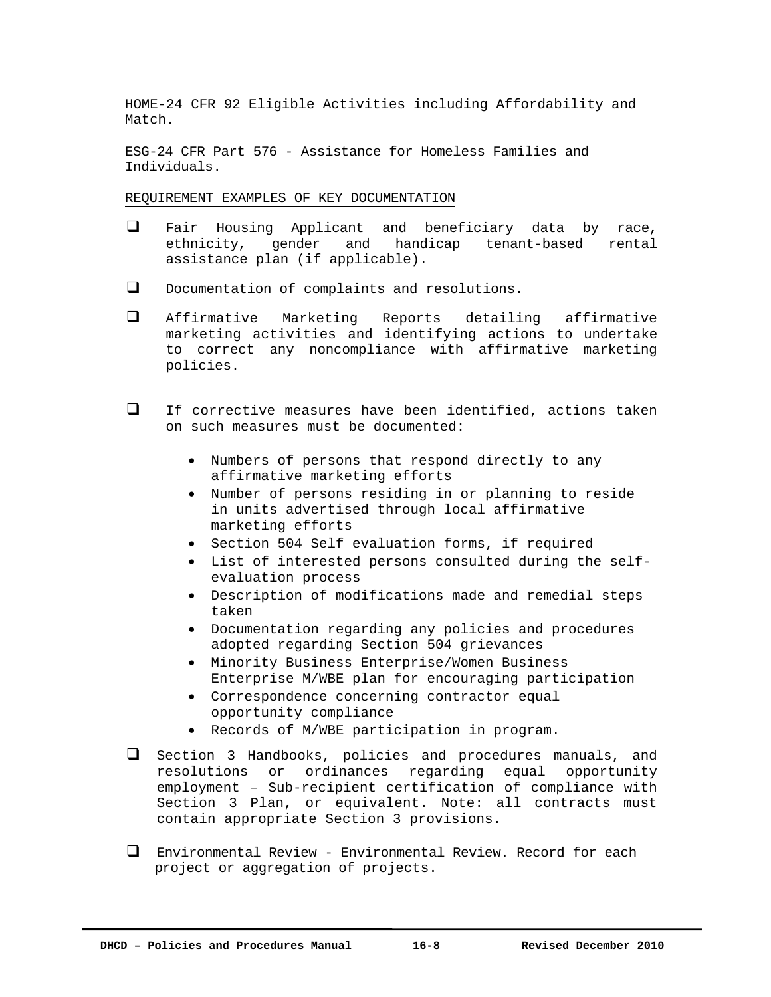HOME-24 CFR 92 Eligible Activities including Affordability and Match.

ESG-24 CFR Part 576 - Assistance for Homeless Families and Individuals.

REQUIREMENT EXAMPLES OF KEY DOCUMENTATION

- Fair Housing Applicant and beneficiary data by race, ethnicity, gender and handicap tenant-based rental assistance plan (if applicable).
- D Documentation of complaints and resolutions.
- Affirmative Marketing Reports detailing affirmative marketing activities and identifying actions to undertake to correct any noncompliance with affirmative marketing policies.
- If corrective measures have been identified, actions taken on such measures must be documented:
	- Numbers of persons that respond directly to any affirmative marketing efforts
	- Number of persons residing in or planning to reside in units advertised through local affirmative marketing efforts
	- Section 504 Self evaluation forms, if required
	- List of interested persons consulted during the selfevaluation process
	- Description of modifications made and remedial steps taken
	- Documentation regarding any policies and procedures adopted regarding Section 504 grievances
	- Minority Business Enterprise/Women Business Enterprise M/WBE plan for encouraging participation
	- Correspondence concerning contractor equal opportunity compliance
	- Records of M/WBE participation in program.
- Section 3 Handbooks, policies and procedures manuals, and resolutions or ordinances regarding equal opportunity employment – Sub-recipient certification of compliance with Section 3 Plan, or equivalent. Note: all contracts must contain appropriate Section 3 provisions.
- Environmental Review Environmental Review. Record for each project or aggregation of projects.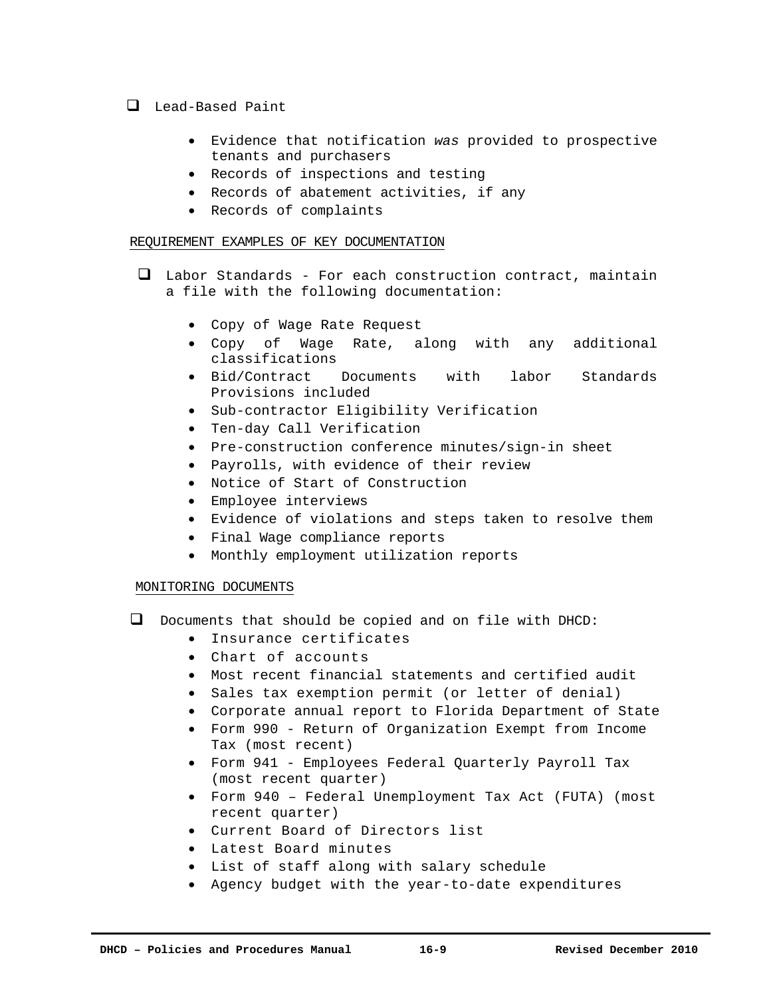# Lead-Based Paint

- Evidence that notification *was* provided to prospective tenants and purchasers
- Records of inspections and testing
- Records of abatement activities, if any
- Records of complaints

# REQUIREMENT EXAMPLES OF KEY DOCUMENTATION

- Labor Standards For each construction contract, maintain a file with the following documentation:
	- Copy of Wage Rate Request
	- Copy of Wage Rate, along with any additional classifications
	- Bid/Contract Documents with labor Standards Provisions included
	- Sub-contractor Eligibility Verification
	- Ten-day Call Verification
	- Pre-construction conference minutes/sign-in sheet
	- Payrolls, with evidence of their review
	- Notice of Start of Construction
	- Employee interviews
	- Evidence of violations and steps taken to resolve them
	- Final Wage compliance reports
	- Monthly employment utilization reports

# MONITORING DOCUMENTS

- $\Box$  Documents that should be copied and on file with DHCD:
	- Insurance certificates
	- Chart of accounts
	- Most recent financial statements and certified audit
	- Sales tax exemption permit (or letter of denial)
	- Corporate annual report to Florida Department of State
	- Form 990 Return of Organization Exempt from Income Tax (most recent)
	- Form 941 Employees Federal Quarterly Payroll Tax (most recent quarter)
	- Form 940 Federal Unemployment Tax Act (FUTA) (most recent quarter)
	- Current Board of Directors list
	- Latest Board minutes
	- List of staff along with salary schedule
	- Agency budget with the year-to-date expenditures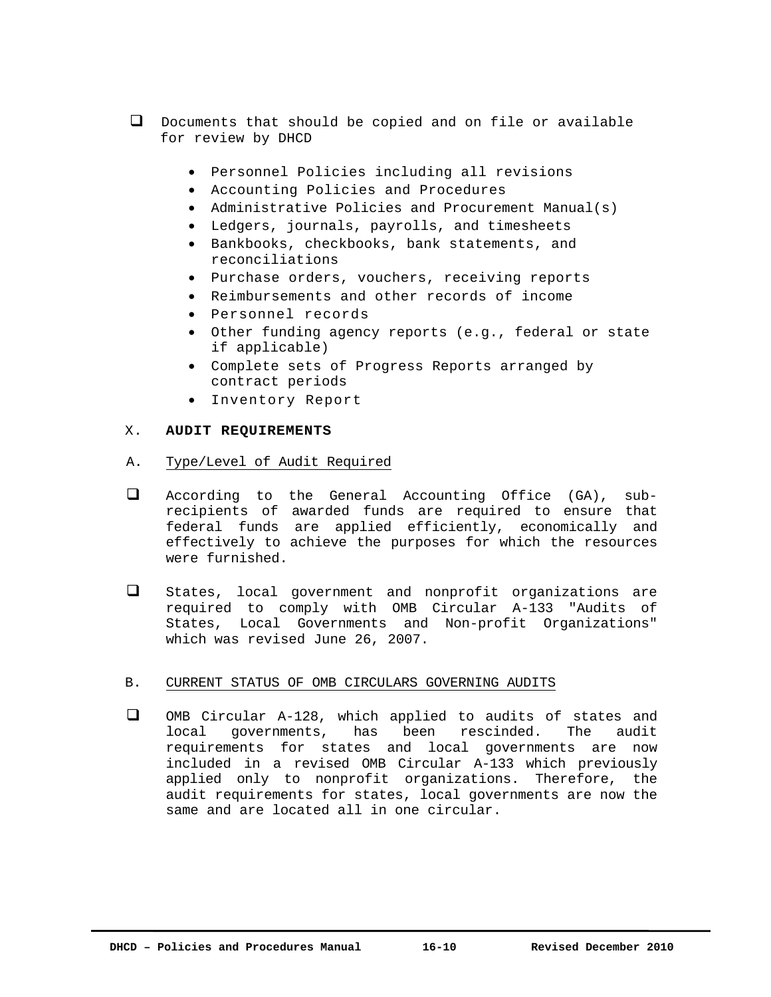- $\Box$  Documents that should be copied and on file or available for review by DHCD
	- Personnel Policies including all revisions
	- Accounting Policies and Procedures
	- Administrative Policies and Procurement Manual(s)
	- Ledgers, journals, payrolls, and timesheets
	- Bankbooks, checkbooks, bank statements, and reconciliations
	- Purchase orders, vouchers, receiving reports
	- Reimbursements and other records of income
	- Personnel records
	- Other funding agency reports (e.g., federal or state if applicable)
	- Complete sets of Progress Reports arranged by contract periods
	- Inventory Report

# X. **AUDIT REQUIREMENTS**

- A. Type/Level of Audit Required
- According to the General Accounting Office (GA), subrecipients of awarded funds are required to ensure that federal funds are applied efficiently, economically and effectively to achieve the purposes for which the resources were furnished.
- States, local government and nonprofit organizations are required to comply with OMB Circular A-133 "Audits of States, Local Governments and Non-profit Organizations" which was revised June 26, 2007.

# B. CURRENT STATUS OF OMB CIRCULARS GOVERNING AUDITS

 OMB Circular A-128, which applied to audits of states and local governments, has been rescinded. The audit requirements for states and local governments are now included in a revised OMB Circular A-133 which previously applied only to nonprofit organizations. Therefore, the audit requirements for states, local governments are now the same and are located all in one circular.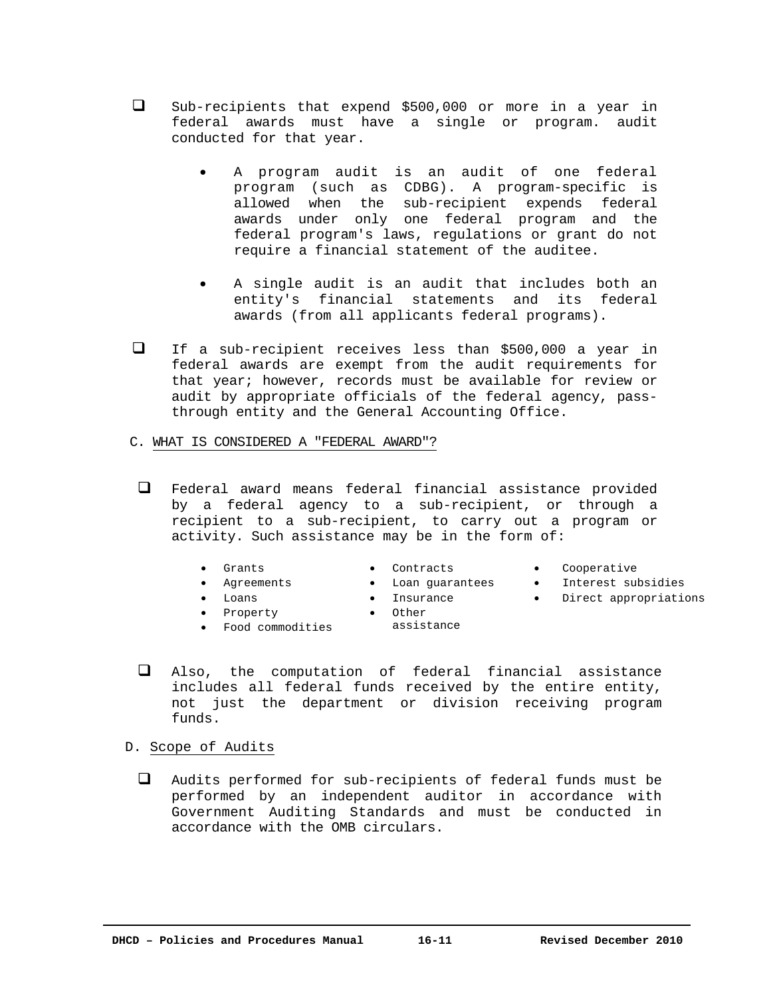- Sub-recipients that expend \$500,000 or more in a year in federal awards must have a single or program. audit conducted for that year.
	- A program audit is an audit of one federal program (such as CDBG). A program-specific is allowed when the sub-recipient expends federal awards under only one federal program and the federal program's laws, regulations or grant do not require a financial statement of the auditee.
	- A single audit is an audit that includes both an entity's financial statements and its federal awards (from all applicants federal programs).
- $\Box$  If a sub-recipient receives less than \$500,000 a year in federal awards are exempt from the audit requirements for that year; however, records must be available for review or audit by appropriate officials of the federal agency, passthrough entity and the General Accounting Office.
- C. WHAT IS CONSIDERED A "FEDERAL AWARD"?
	- Federal award means federal financial assistance provided by a federal agency to a sub-recipient, or through a recipient to a sub-recipient, to carry out a program or activity. Such assistance may be in the form of:
		- Grants
- Contracts **Loan guarantees**
- Cooperative
- Interest subsidies
- Direct appropriations

 Loans • Property

Agreements

- Insurance • Other
- Food commodities
- assistance
- Also, the computation of federal financial assistance includes all federal funds received by the entire entity, not just the department or division receiving program funds.
- D. Scope of Audits
	- Audits performed for sub-recipients of federal funds must be performed by an independent auditor in accordance with Government Auditing Standards and must be conducted in accordance with the OMB circulars.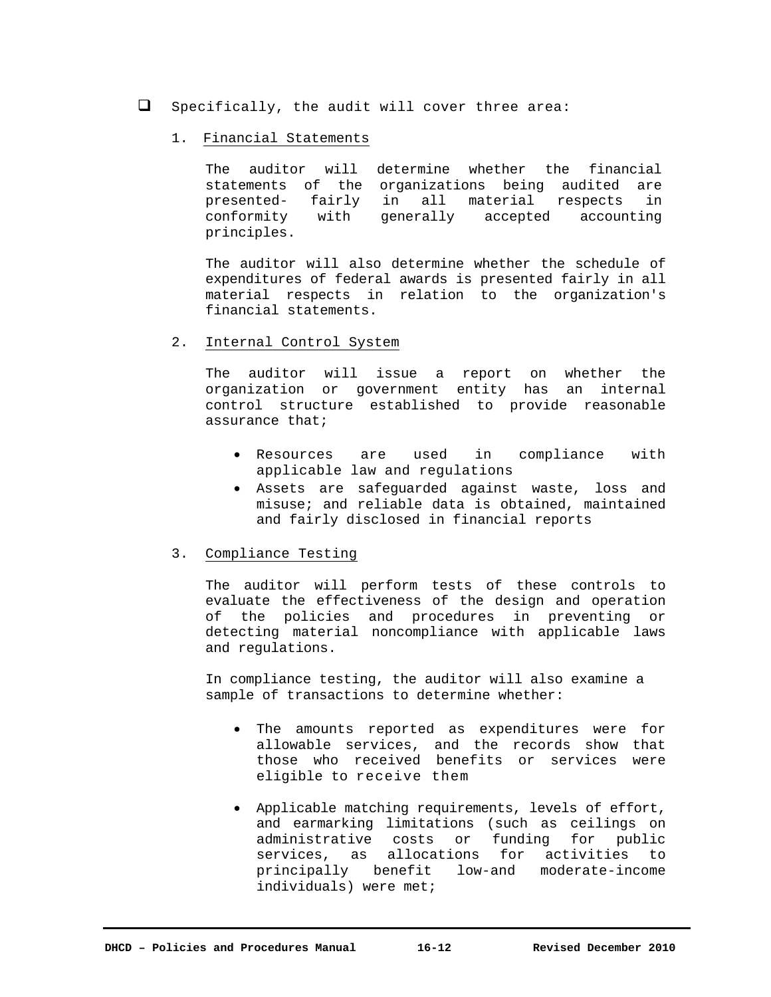$\Box$  Specifically, the audit will cover three area:

# 1. Financial Statements

The auditor will determine whether the financial statements of the organizations being audited are presented- fairly in all material respects in conformity with generally accepted accounting principles.

The auditor will also determine whether the schedule of expenditures of federal awards is presented fairly in all material respects in relation to the organization's financial statements.

2. Internal Control System

The auditor will issue a report on whether the organization or government entity has an internal control structure established to provide reasonable assurance that;

- Resources are used in compliance with applicable law and regulations
- Assets are safeguarded against waste, loss and misuse; and reliable data is obtained, maintained and fairly disclosed in financial reports

# 3. Compliance Testing

The auditor will perform tests of these controls to evaluate the effectiveness of the design and operation of the policies and procedures in preventing or detecting material noncompliance with applicable laws and regulations.

In compliance testing, the auditor will also examine a sample of transactions to determine whether:

- The amounts reported as expenditures were for allowable services, and the records show that those who received benefits or services were eligible to receive them
- Applicable matching requirements, levels of effort, and earmarking limitations (such as ceilings on administrative costs or funding for public services, as allocations for activities to principally benefit low-and moderate-income individuals) were met;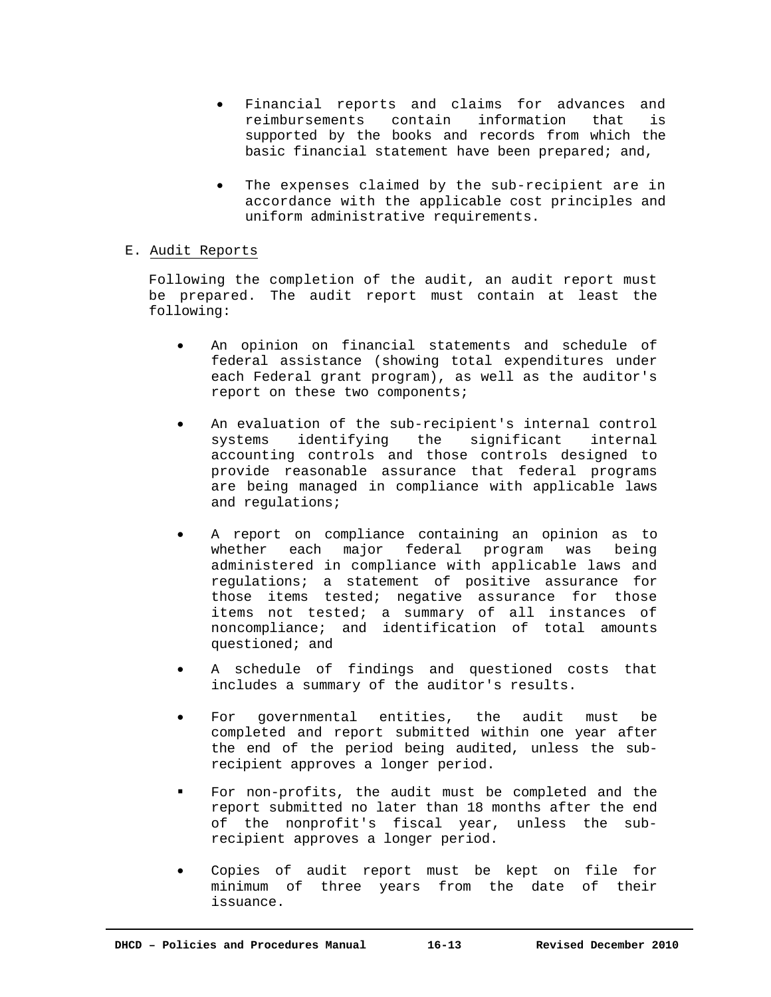- Financial reports and claims for advances and reimbursements contain information that is supported by the books and records from which the basic financial statement have been prepared; and,
- The expenses claimed by the sub-recipient are in accordance with the applicable cost principles and uniform administrative requirements.

# E. Audit Reports

Following the completion of the audit, an audit report must be prepared. The audit report must contain at least the following:

- An opinion on financial statements and schedule of federal assistance (showing total expenditures under each Federal grant program), as well as the auditor's report on these two components;
- An evaluation of the sub-recipient's internal control systems identifying the significant internal accounting controls and those controls designed to provide reasonable assurance that federal programs are being managed in compliance with applicable laws and regulations;
- A report on compliance containing an opinion as to whether each major federal program was being administered in compliance with applicable laws and regulations; a statement of positive assurance for those items tested; negative assurance for those items not tested; a summary of all instances of noncompliance; and identification of total amounts questioned; and
- A schedule of findings and questioned costs that includes a summary of the auditor's results.
- For governmental entities, the audit must be completed and report submitted within one year after the end of the period being audited, unless the subrecipient approves a longer period.
- For non-profits, the audit must be completed and the report submitted no later than 18 months after the end of the nonprofit's fiscal year, unless the subrecipient approves a longer period.
- Copies of audit report must be kept on file for minimum of three years from the date of their issuance.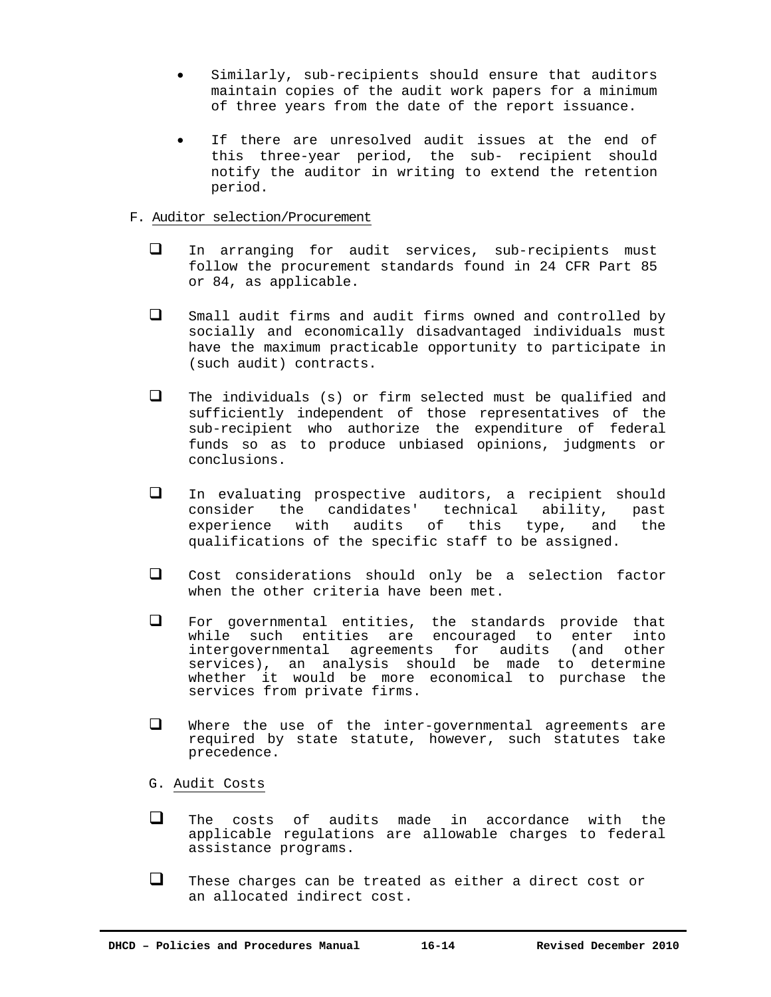- Similarly, sub-recipients should ensure that auditors maintain copies of the audit work papers for a minimum of three years from the date of the report issuance.
- If there are unresolved audit issues at the end of this three-year period, the sub- recipient should notify the auditor in writing to extend the retention period.

# F. Auditor selection/Procurement

- In arranging for audit services, sub-recipients must follow the procurement standards found in 24 CFR Part 85 or 84, as applicable.
- Small audit firms and audit firms owned and controlled by socially and economically disadvantaged individuals must have the maximum practicable opportunity to participate in (such audit) contracts.
- $\Box$  The individuals (s) or firm selected must be qualified and sufficiently independent of those representatives of the sub-recipient who authorize the expenditure of federal funds so as to produce unbiased opinions, judgments or conclusions.
- In evaluating prospective auditors, a recipient should consider the candidates' technical ability, past experience with audits of this type, and the qualifications of the specific staff to be assigned.
- Cost considerations should only be a selection factor when the other criteria have been met.
- For governmental entities, the standards provide that while such entities are encouraged to enter into intergovernmental agreements for audits (and other services), an analysis should be made to determine whether it would be more economical to purchase the services from private firms.
- Where the use of the inter-governmental agreements are required by state statute, however, such statutes take precedence.
- G. Audit Costs
- $\Box$  The costs of audits made in accordance with the applicable regulations are allowable charges to federal assistance programs.
- $\Box$  These charges can be treated as either a direct cost or an allocated indirect cost.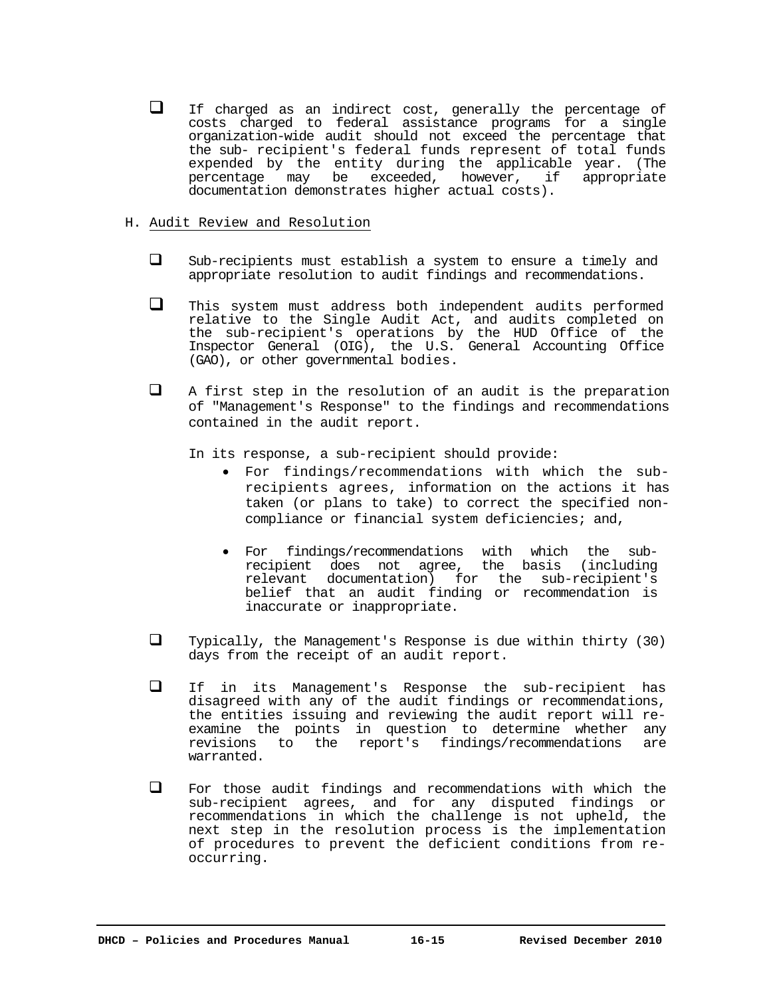$\Box$  If charged as an indirect cost, generally the percentage of costs charged to federal assistance programs for a single organization-wide audit should not exceed the percentage that the sub- recipient's federal funds represent of total funds expended by the entity during the applicable year. (The percentage may be exceeded, however, if appropriate documentation demonstrates higher actual costs).

# H. Audit Review and Resolution

- $\square$  Sub-recipients must establish a system to ensure a timely and appropriate resolution to audit findings and recommendations.
- This system must address both independent audits performed relative to the Single Audit Act, and audits completed on the sub-recipient's operations by the HUD Office of the Inspector General (OIG), the U.S. General Accounting Office (GAO), or other governmental bodies.
- $\Box$  A first step in the resolution of an audit is the preparation of "Management's Response" to the findings and recommendations contained in the audit report.

In its response, a sub-recipient should provide:

- For findings/recommendations with which the subrecipients agrees, information on the actions it has taken (or plans to take) to correct the specified noncompliance or financial system deficiencies; and,
- For findings/recommendations with which the subrecipient does not agree, the basis (including relevant documentation) for the sub-recipient's belief that an audit finding or recommendation is inaccurate or inappropriate.
- $\Box$  Typically, the Management's Response is due within thirty (30) days from the receipt of an audit report.
- If in its Management's Response the sub-recipient has disagreed with any of the audit findings or recommendations, the entities issuing and reviewing the audit report will reexamine the points in question to determine whether any revisions to the report's findings/recommendations are warranted.
- For those audit findings and recommendations with which the sub-recipient agrees, and for any disputed findings or recommendations in which the challenge is not upheld, the next step in the resolution process is the implementation of procedures to prevent the deficient conditions from reoccurring.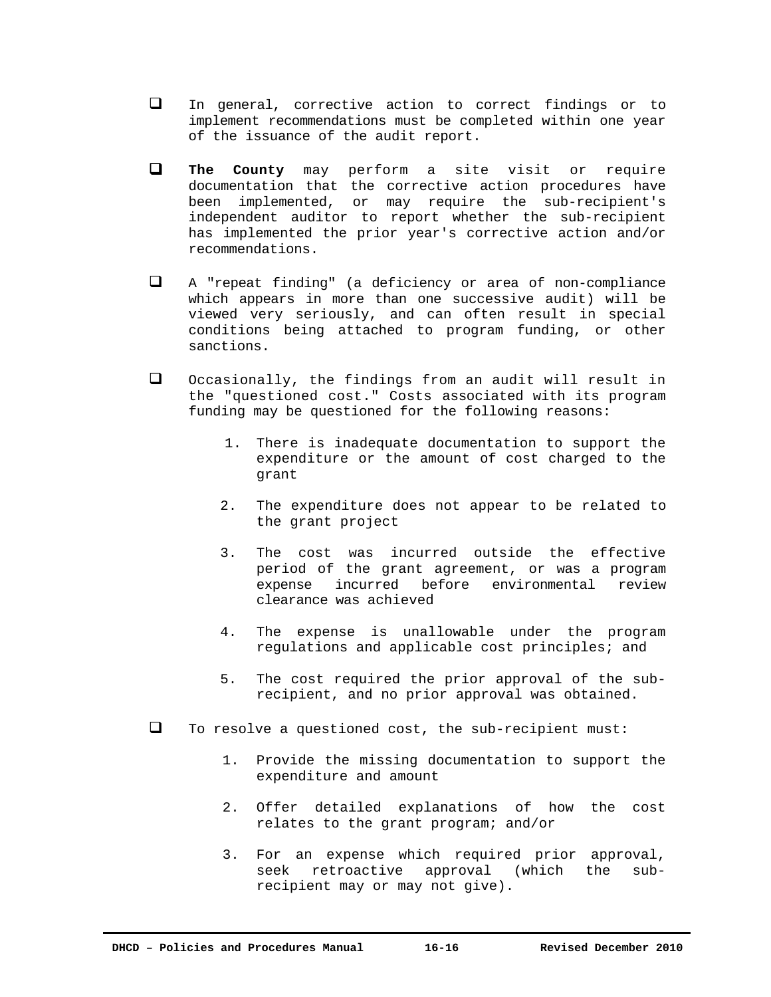- In general, corrective action to correct findings or to implement recommendations must be completed within one year of the issuance of the audit report.
- **The County** may perform a site visit or require documentation that the corrective action procedures have been implemented, or may require the sub-recipient's independent auditor to report whether the sub-recipient has implemented the prior year's corrective action and/or recommendations.
- A "repeat finding" (a deficiency or area of non-compliance which appears in more than one successive audit) will be viewed very seriously, and can often result in special conditions being attached to program funding, or other sanctions.
- Occasionally, the findings from an audit will result in the "questioned cost." Costs associated with its program funding may be questioned for the following reasons:
	- 1. There is inadequate documentation to support the expenditure or the amount of cost charged to the grant
	- 2. The expenditure does not appear to be related to the grant project
	- 3. The cost was incurred outside the effective period of the grant agreement, or was a program expense incurred before environmental review clearance was achieved
	- 4. The expense is unallowable under the program regulations and applicable cost principles; and
	- 5. The cost required the prior approval of the subrecipient, and no prior approval was obtained.
- $\Box$  To resolve a questioned cost, the sub-recipient must:
	- 1. Provide the missing documentation to support the expenditure and amount
	- 2. Offer detailed explanations of how the cost relates to the grant program; and/or
	- 3. For an expense which required prior approval, seek retroactive approval (which the subrecipient may or may not give).